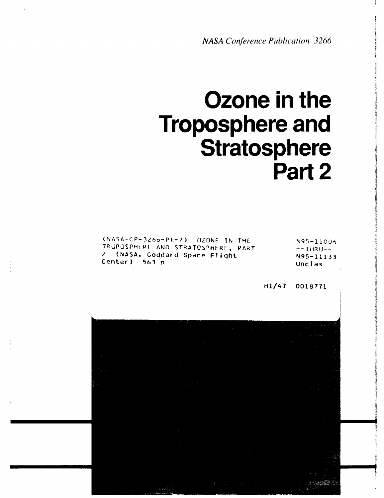**NASA Conference Publication 3266** 

# Ozone in the **Troposphere and Stratosphere** Part 2

(NASA-CP-3260-Pt-2) OZONE IN THE TRUPUSPHERE AND STRATOSPHERE, PART 2 (NASA. Goddard Space Flight Center)  $563p$ 

N95-11006  $--THRU--$ N95-11133 Unclas

 $H1/47$ 0018771

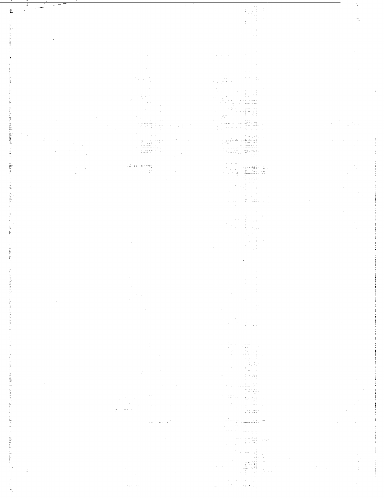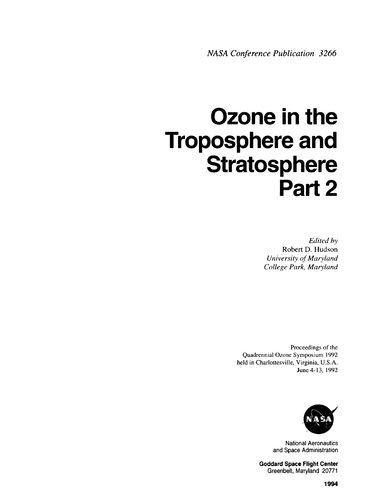# **Ozone in the Troposphere and Stratosphere Part 2**

*Edited by* Robert D. Hudson *University of Maryland College Park, Maryland*

Proceedings of the Quadrennial Ozone Symposium 1992 held in Charlottesville, Virginia, U.S.A. June 4-13, 1992



National Aeronautics and Space **Administration**

**Goddard Space Flight Center Greenbelt, Maryland 20771**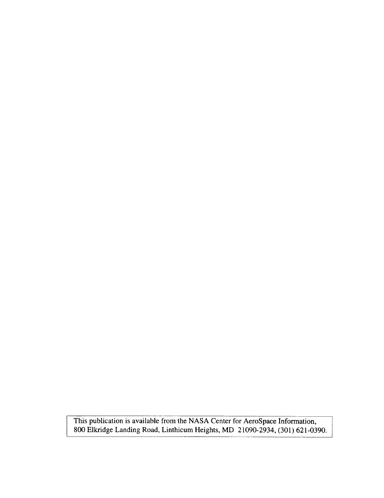I his publication is available from the NASA Center for AeroSpace Information,<br>800 Elkridge Landing Road, Linthicum Heights, MD 21090-2934, (301) 621-0390.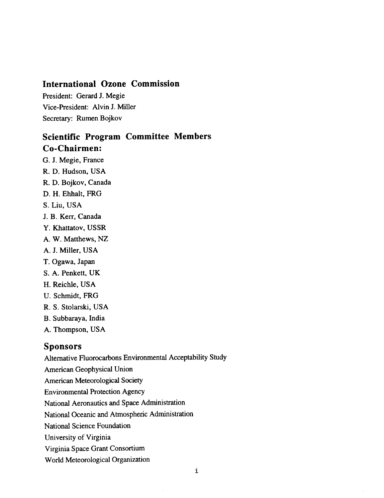## **International Ozone Commission**

President: Gerard J. Megie Vice-President: Alvin J. Miller Secretary: Rumen Bojkov

# Scientific Program *Committee* Members Co-Chairmen:

G. J. Megie, France

- R. D. Hudson, USA
- R. D. Bojkov, Canada
- D. H. Ehhalt, FRG

S. Liu, USA

- J. B. Kerr, Canada
- Y. Khattatov, USSR
- A. W. Matthews, NZ
- A. J. Miller, USA
- T. Ogawa, Japan
- S. A. Penkett, UK
- H. Reichle, USA
- U. Schmidt, FRG
- R. S. Stolarski, USA
- B. Subbaraya, India
- A. Thompson, USA

# Sponsors

Alternative Fluorocarbons Environmental Acceptability Study American Geophysical Union American Meteorological Society Environmental Protection Agency National Aeronautics and Space Administration National Oceanic and Atmospheric Administration National Science Foundation University of Virginia Virginia Space Grant Consortium World Meteorological Organization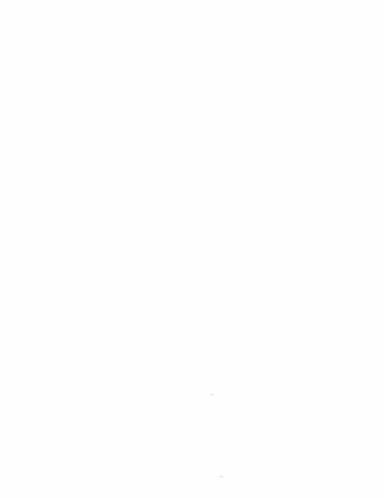$\label{eq:2.1} \frac{1}{\sqrt{2}}\int_{\mathbb{R}^3}\frac{1}{\sqrt{2}}\left(\frac{1}{\sqrt{2}}\right)^2\frac{1}{\sqrt{2}}\left(\frac{1}{\sqrt{2}}\right)^2\frac{1}{\sqrt{2}}\left(\frac{1}{\sqrt{2}}\right)^2\frac{1}{\sqrt{2}}\left(\frac{1}{\sqrt{2}}\right)^2\frac{1}{\sqrt{2}}\left(\frac{1}{\sqrt{2}}\right)^2\frac{1}{\sqrt{2}}\frac{1}{\sqrt{2}}\frac{1}{\sqrt{2}}\frac{1}{\sqrt{2}}\frac{1}{\sqrt{2}}\frac{1}{\sqrt{2}}$ 

 $\sim 10^{11}$  km s  $^{-1}$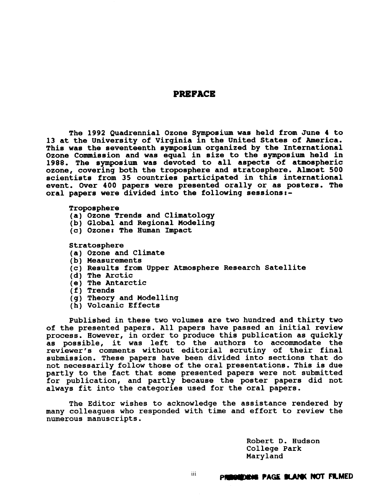#### **PREFACE**

**The** 1992 **Quadrennial** Ozone **Symposium was held from June 4 to** 13 **at the University** of **Virginia in the United States** of **America. This was the** seventeenth symposium organized **by the International Ozone Commission and was equal in** size **to the** symposium **held in** 1988. **The** symposium **was devoted to all aspects** of **atmospheric** ozone, **covering both the troposphere and** stratosphere. **Almost 500** scientists **from 35 countries participated in this international event. Over 400 papers were presented** orally or **as posters. The** oral **papers were divided into the following sessionsz-**

**Troposphere**

- **(a) Ozone Trends and Climatology**
- **(b) Global and Regional Modeling**
- **(c)** Ozonez **The Human Impact**

**Stratosphere**

- **(a) Ozone and Climate**
- **(b) Measurements**
- **(c) Results from Upper Atmosphere Research Satellite**
- **(d) The Arctic**
- **(e) The Antarctic**
- **(f) Trends**
- **(g) Theory and Modelling**
- **(h) Volcanic Effects**

**Published in these two volumes are two hundred and thirty two of the presented papers. All papers have passed an initial review process. However, in order to produce this publication as quickly as possible, it was** left **to the authors to accommodate the reviewer's comments without editorial scrutiny of their final submission. These papers have been divided into sections that do not necessarily follow those of the** oral **presentations. This is due partly to the fact that some presented papers were not submitted for publication, and partly because the poster papers did not always fit into the categories used for the oral papers.**

**The Editor wishes** to **acknowledge** the **assistance** rendered by many colleagues who responded with time and effort to review the numerous manuscripts.

> Robert **D. Hudson** College Park Maryland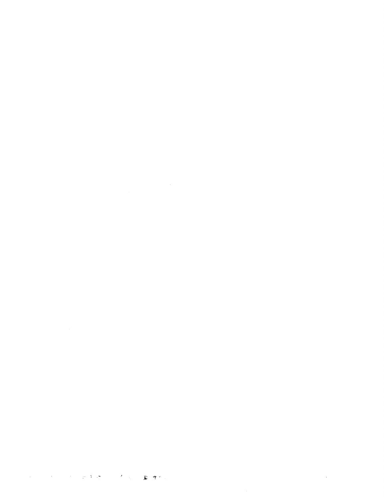- 2010年11月10日 - 中国語の「アメリカ」

 $\mathcal{L}(\mathcal{A})$  .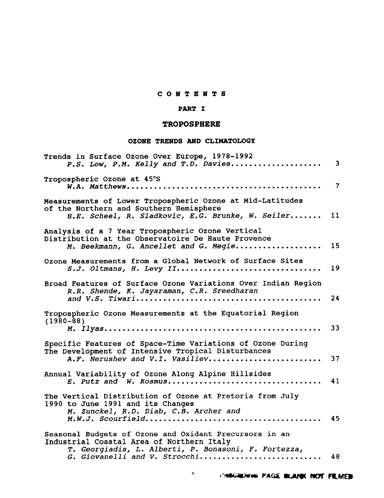#### **CONTENTS**

#### **PART I**

### **TROPOSPHERE**

#### OZONE **TRENDS AND CLIMATOLOGY**

| Trends in Surface Ozone Over Europe, 1978-1992                                                                                                                                               |                         |
|----------------------------------------------------------------------------------------------------------------------------------------------------------------------------------------------|-------------------------|
| Tropospheric Ozone at 45°S                                                                                                                                                                   | $\overline{\mathbf{7}}$ |
| Measurements of Lower Tropospheric Ozone at Mid-Latitudes<br>of the Northern and Southern Hemisphere<br>H.E. Scheel, R. Sladkovic, E.G. Brunke, W. Seiler                                    | 11                      |
| Analysis of a 7 Year Tropospheric Ozone Vertical<br>Distribution at the Observatoire De Haute Provence<br>M. Beekmann, G. Ancellet and G. Megie                                              | 15                      |
| Ozone Measurements from a Global Network of Surface Sites<br>$S.J.$ Oltmans, H. Levy II                                                                                                      | 19                      |
| Broad Features of Surface Ozone Variations Over Indian Region<br>R.R. Shende, K. Jayaraman, C.R. Sreedharan                                                                                  | 24                      |
| Tropospheric Ozone Measurements at the Equatorial Region<br>$(1980 - 88)$                                                                                                                    | 33                      |
| Specific Features of Space-Time Variations of Ozone During<br>The Development of Intensive Tropical Disturbances<br>A.F. Nerushev and V.I. Vasiliev                                          | 37                      |
| Annual Variability of Ozone Along Alpine Hillsides<br>$E.$ Putz and $W.$ Kosmus                                                                                                              | 41                      |
| The Vertical Distribution of Ozone at Pretoria from July<br>1990 to June 1991 and its Changes<br>M. Zunckel, R.D. Diab, C.B. Archer and                                                      | 45                      |
| Seasonal Budgets of Ozone and Oxidant Precursors in an<br>Industrial Coastal Area of Northern Italy<br>T. Georgiadis, L. Alberti, P. Bonasoni, F. Fortezza,<br>G. Giovanelli and V. Strocchi | 48                      |

v **r'\_,\_ PA\_** LANK **NOT FLMEm**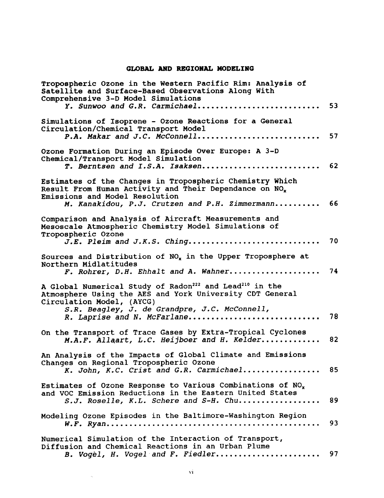### **GLOBAL AND REGIONAL MODELING**

| Tropospheric Ozone in the Western Pacific Rim: Analysis of<br>Satellite and Surface-Based Observations Along With<br>Comprehensive 3-D Model Simulations                                                                  |    |
|---------------------------------------------------------------------------------------------------------------------------------------------------------------------------------------------------------------------------|----|
| Y. Sunwoo and G.R. Carmichael                                                                                                                                                                                             | 53 |
| Simulations of Isoprene - Ozone Reactions for a General<br>Circulation/Chemical Transport Model<br>P.A. Makar and J.C. McConnell                                                                                          | 57 |
| Ozone Formation During an Episode Over Europe: A 3-D<br>Chemical/Transport Model Simulation<br>T. Berntsen and I.S.A. Isaksen                                                                                             | 62 |
| Estimates of the Changes in Tropospheric Chemistry Which<br>Result From Human Activity and Their Dependance on NO <sub>x</sub><br>Emissions and Model Resolution                                                          |    |
| M. Kanakidou, P.J. Crutzen and P.H. Zimmermann                                                                                                                                                                            | 66 |
| Comparison and Analysis of Aircraft Measurements and<br>Mesoscale Atmospheric Chemistry Model Simulations of<br>Tropospheric Ozone                                                                                        |    |
| $\tilde{J}$ .E. Pleim and J.K.S. Ching                                                                                                                                                                                    | 70 |
| Sources and Distribution of NO <sub>x</sub> in the Upper Troposphere at<br>Northern Midlatitudes<br>F. Rohrer, D.H. Ehhalt and A. Wahner                                                                                  | 74 |
| A Global Numerical Study of Radon <sup>222</sup> and Lead <sup>210</sup> in the<br>Atmosphere Using the AES and York University CDT General<br>Circulation Model, (AYCG)<br>S.R. Beagley, J. de Grandpre, J.C. McConnell, |    |
| R. Laprise and N. McFarlane                                                                                                                                                                                               | 78 |
| On the Transport of Trace Gases by Extra-Tropical Cyclones<br>M.A.F. Allaart, L.C. Heijboer and H. Kelder                                                                                                                 | 82 |
| An Analysis of the Impacts of Global Climate and Emissions<br>Changes on Regional Tropospheric Ozone<br>K. John, K.C. Crist and G.R. Carmichael                                                                           | 85 |
| Estimates of Ozone Response to Various Combinations of NO.<br>and VOC Emission Reductions in the Eastern United States<br>$S.J.$ Roselle, K.L. Schere and $S-H.$ Chu                                                      | 89 |
| Modeling Ozone Episodes in the Baltimore-Washington Region                                                                                                                                                                | 93 |
| Numerical Simulation of the Interaction of Transport,<br>Diffusion and Chemical Reactions in an Urban Plume                                                                                                               |    |
| B. Vogel, H. Vogel and F. Fiedler                                                                                                                                                                                         | 97 |

 $\mathcal{A}_{\mathbf{r}}$  .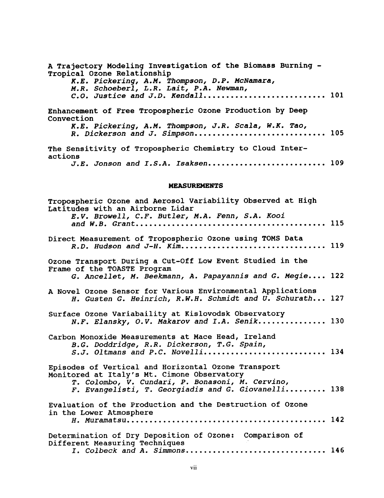| A Trajectory Modeling Investigation of the Biomass Burning -<br>Tropical Ozone Relationship<br>K.E. Pickering, A.M. Thompson, D.P. McNamara,<br>M.R. Schoeberl, L.R. Lait, P.A. Newman,<br>C.O. Justice and J.D. Kendall 101 |  |
|------------------------------------------------------------------------------------------------------------------------------------------------------------------------------------------------------------------------------|--|
| Enhancement of Free Tropospheric Ozone Production by Deep<br>Convection<br>K.E. Pickering, A.M. Thompson, J.R. Scala, W.K. Tao,<br>R. Dickerson and J. Simpson 105                                                           |  |
| The Sensitivity of Tropospheric Chemistry to Cloud Inter-<br>actions<br>J.E. Jonson and I.S.A. Isaksen 109                                                                                                                   |  |
| <b>MEASUREMENTS</b>                                                                                                                                                                                                          |  |
| Tropospheric Ozone and Aerosol Variability Observed at High<br>Latitudes with an Airborne Lidar<br>E.V. Browell, C.F. Butler, M.A. Fenn, S.A. Kooi                                                                           |  |
| Direct Measurement of Tropospheric Ozone using TOMS Data                                                                                                                                                                     |  |
| Ozone Transport During a Cut-Off Low Event Studied in the<br>Frame of the TOASTE Program<br>G. Ancellet, M. Beekmann, A. Papayannis and G. Megie 122                                                                         |  |
| A Novel Ozone Sensor for Various Environmental Applications<br>H. Gusten G. Heinrich, R.W.H. Schmidt and U. Schurath 127                                                                                                     |  |
| Surface Ozone Variabaility at Kislovodsk Observatory<br>N.F. Elansky, O.V. Makarov and I.A. Senik 130                                                                                                                        |  |
| Carbon Monoxide Measurements at Mace Head, Ireland<br>B.G. Doddridge, R.R. Dickerson, T.G. Spain,<br>$S.J.$ Oltmans and P.C. Novelli 134                                                                                     |  |
| Episodes of Vertical and Horizontal Ozone Transport<br>Monitored at Italy's Mt. Cimone Observatory<br>T. Colombo, V. Cundari, P. Bonasoni, M. Cervino,<br>F. Evangelisti, T. Georgiadis and G. Giovanelli 138                |  |
| Evaluation of the Production and the Destruction of Ozone<br>in the Lower Atmosphere                                                                                                                                         |  |
| Determination of Dry Deposition of Ozone: Comparison of<br>Different Measuring Techniques<br>I. Colbeck and A. Simmons 146                                                                                                   |  |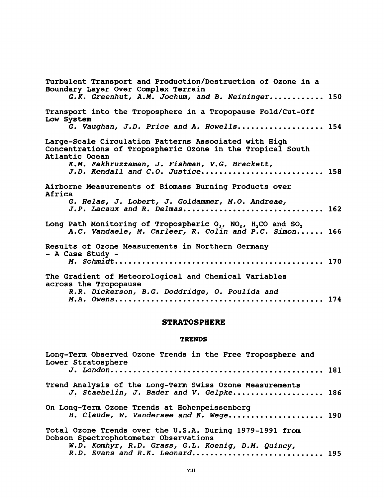| Turbulent Transport and Production/Destruction of Ozone in a<br>Boundary Layer Over Complex Terrain<br>G.K. Greenhut, A.M. Jochum, and B. Neininger 150                                     |  |
|---------------------------------------------------------------------------------------------------------------------------------------------------------------------------------------------|--|
| Transport into the Troposphere in a Tropopause Fold/Cut-Off<br>Low System<br>G. Vaughan, J.D. Price and A. Howells 154                                                                      |  |
| Large-Scale Circulation Patterns Associated with High<br>Concentrations of Tropospheric Ozone in the Tropical South<br>Atlantic Ocean<br>K.M. Fakhruzzaman, J. Fishman, V.G. Brackett,      |  |
| J.D. Kendall and C.O. Justice 158<br>Airborne Measurements of Biomass Burning Products over<br>Africa                                                                                       |  |
| G. Helas, J. Lobert, J. Goldammer, M.O. Andreae,<br>$J.P.$ Lacaux and R. Delmas 162<br>Long Path Monitoring of Tropospheric $O_3$ , NO <sub>2</sub> , H <sub>2</sub> CO and SO <sub>2</sub> |  |
| A.C. Vandaele, M. Carleer, R. Colin and P.C. Simon 166<br>Results of Ozone Measurements in Northern Germany                                                                                 |  |
| - A Case Study -<br>The Gradient of Meteorological and Chemical Variables                                                                                                                   |  |
| across the Tropopause<br>R.R. Dickerson, B.G. Doddridge, O. Poulida and                                                                                                                     |  |

#### **STRATOSPHERE**

#### **TRENDS**

| Long-Term Observed Ozone Trends in the Free Troposphere and<br>Lower Stratosphere                    |  |
|------------------------------------------------------------------------------------------------------|--|
|                                                                                                      |  |
| Trend Analysis of the Long-Term Swiss Ozone Measurements<br>J. Staehelin, J. Bader and V. Gelpke 186 |  |
| On Long-Term Ozone Trends at Hohenpeissenberg<br>H. Claude, W. Vandersee and K. Wege 190             |  |
| Total Ozone Trends over the U.S.A. During 1979-1991 from<br>Dobson Spectrophotometer Observations    |  |
| W.D. Komhyr, R.D. Grass, G.L. Koenig, D.M. Quincy,<br>R.D. Evans and R.K. Leonard 195                |  |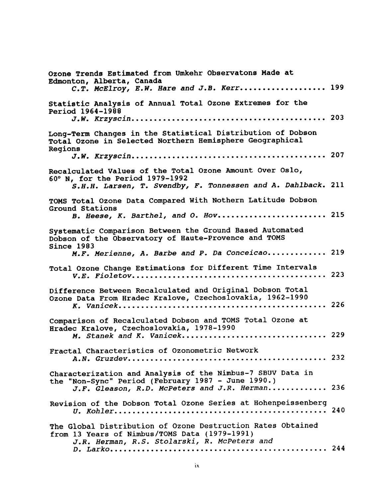| Ozone Trends Estimated from Umkehr Observatons Made at<br>Edmonton, Alberta, Canada                                                |  |
|------------------------------------------------------------------------------------------------------------------------------------|--|
| C.T. McElroy, E.W. Hare and J.B. Kerr 199                                                                                          |  |
| Statistic Analysis of Annual Total Ozone Extremes for the<br>Period 1964-1988                                                      |  |
|                                                                                                                                    |  |
| Long-Term Changes in the Statistical Distribution of Dobson<br>Total Ozone in Selected Northern Hemisphere Geographical<br>Regions |  |
|                                                                                                                                    |  |
| Recalculated Values of the Total Ozone Amount Over Oslo,<br>60° N, for the Period 1979-1992                                        |  |
| S.H.H. Larsen, T. Svendby, F. Tonnessen and A. Dahlback. 211                                                                       |  |
| TOMS Total Ozone Data Compared With Nothern Latitude Dobson<br><b>Ground Stations</b>                                              |  |
| B. Heese, K. Barthel, and O. Hov 215                                                                                               |  |
| Systematic Comparison Between the Ground Based Automated<br>Dobson of the Observatory of Haute-Provence and TOMS                   |  |
| <b>Since 1983</b><br>M.F. Merienne, A. Barbe and P. Da Conceicao 219                                                               |  |
| Total Ozone Change Estimations for Different Time Intervals                                                                        |  |
| Difference Between Recalculated and Original Dobson Total<br>Ozone Data From Hradec Kralove, Czechoslovakia, 1962-1990             |  |
| Comparison of Recalculated Dobson and TOMS Total Ozone at                                                                          |  |
| Hradec Kralove, Czechoslovakia, 1978-1990                                                                                          |  |
| M. Stanek and K. Vanicek 229                                                                                                       |  |
| Fractal Characteristics of Ozonometric Network                                                                                     |  |
| Characterization and Analysis of the Nimbus-7 SBUV Data in                                                                         |  |
| the "Non-Sync" Period (February 1987 - June 1990.)<br>J.F. Gleason, R.D. McPeters and J.R. Herman 236                              |  |
| Revision of the Dobson Total Ozone Series at Hohenpeissenberg                                                                      |  |
|                                                                                                                                    |  |
| The Global Distribution of Ozone Destruction Rates Obtained<br>from 13 Years of Nimbus/TOMS Data (1979-1991)                       |  |
| J.R. Herman, R.S. Stolarski, R. McPeters and                                                                                       |  |
|                                                                                                                                    |  |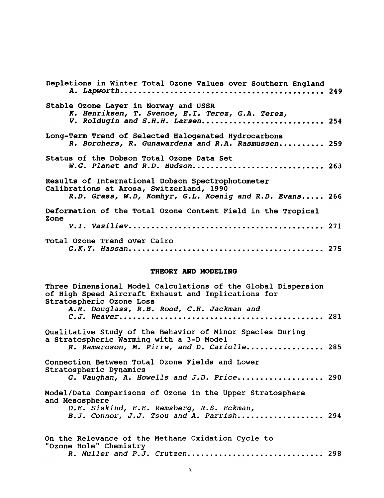| Depletions in Winter Total Ozone Values over Southern England                                                                                            |  |
|----------------------------------------------------------------------------------------------------------------------------------------------------------|--|
| Stable Ozone Layer in Norway and USSR<br>K. Henriksen, T. Svenoe, E.I. Terez, G.A. Terez,<br>V. Roldugin and S.H.H. Larsen 254                           |  |
| Long-Term Trend of Selected Halogenated Hydrocarbons<br>R. Borchers, R. Gunawardena and R.A. Rasmussen 259                                               |  |
| Status of the Dobson Total Ozone Data Set<br>W.G. Planet and R.D. Hudson 263                                                                             |  |
| Results of International Dobson Spectrophotometer<br>Calibrations at Arosa, Switzerland, 1990<br>R.D. Grass, W.D, Komhyr, G.L. Koenig and R.D. Evans 266 |  |
| Deformation of the Total Ozone Content Field in the Tropical<br>Zone                                                                                     |  |
| Total Ozone Trend over Cairo                                                                                                                             |  |

### **THEORY AND MODELING**

| Three Dimensional Model Calculations of the Global Dispersion<br>of High Speed Aircraft Exhaust and Implications for<br>Stratospheric Ozone Loss                      |  |
|-----------------------------------------------------------------------------------------------------------------------------------------------------------------------|--|
| A.R. Douglass, R.B. Rood, C.H. Jackman and                                                                                                                            |  |
| Qualitative Study of the Behavior of Minor Species During<br>a Stratospheric Warming with a 3-D Model<br>R. Ramaroson, M. Pirre, and D. Cariolle 285                  |  |
| Connection Between Total Ozone Fields and Lower<br>Stratospheric Dynamics<br>G. Vaughan, A. Howells and J.D. Price 290                                                |  |
| Model/Data Comparisons of Ozone in the Upper Stratosphere<br>and Mesosphere<br>D.E. Siskind, E.E. Remsberg, R.S. Eckman,<br>B.J. Connor, J.J. Tsou and A. Parrish 294 |  |
| On the Relevance of the Methane Oxidation Cycle to<br>"Ozone Hole" Chemistry<br>R. Muller and P.J. Crutzen 298                                                        |  |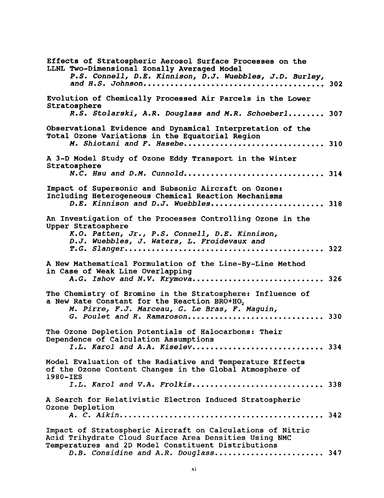| Effects of Stratospheric Aerosol Surface Processes on the<br>LLNL Two-Dimensional Zonally Averaged Model<br>P.S. Connell, D.E. Kinnison, D.J. Wuebbles, J.D. Burley,        |  |
|-----------------------------------------------------------------------------------------------------------------------------------------------------------------------------|--|
|                                                                                                                                                                             |  |
| Evolution of Chemically Processed Air Parcels in the Lower<br>Stratosphere                                                                                                  |  |
| R.S. Stolarski, A.R. Douglass and M.R. Schoeberl 307                                                                                                                        |  |
| Observational Evidence and Dynamical Interpretation of the<br>Total Ozone Variations in the Equatorial Region                                                               |  |
| A 3-D Model Study of Ozone Eddy Transport in the Winter<br>Stratosphere                                                                                                     |  |
| N.C. Hsu and D.M. Cunnold 314                                                                                                                                               |  |
| Impact of Supersonic and Subsonic Aircraft on Ozone:<br>Including Heterogeneous Chemical Reaction Mechanisms<br>D.E. Kinnison and D.J. Wuebbles 318                         |  |
| An Investigation of the Processes Controlling Ozone in the<br><b>Upper Stratosphere</b>                                                                                     |  |
| K.O. Patten, Jr., P.S. Connell, D.E. Kinnison,<br>D.J. Wuebbles, J. Waters, L. Froidevaux and                                                                               |  |
|                                                                                                                                                                             |  |
| A New Mathematical Formulation of the Line-By-Line Method<br>in Case of Weak Line Overlapping                                                                               |  |
| A.G. Ishov and N.V. Krymova 326                                                                                                                                             |  |
| The Chemistry of Bromine in the Stratosphere: Influence of<br>a New Rate Constant for the Reaction BRO+HO <sub>2</sub><br>M. Pirre, F.J. Marceau, G. Le Bras, F. Maguin,    |  |
| G. Poulet and R. Ramaroson 330                                                                                                                                              |  |
| The Ozone Depletion Potentials of Halocarbons: Their                                                                                                                        |  |
| Dependence of Calculation Assumptions<br>I.L. Karol and A.A. Kiselev 334                                                                                                    |  |
| Model Evaluation of the Radiative and Temperature Effects<br>of the Ozone Content Changes in the Global Atmosphere of                                                       |  |
| 1980-IES<br>I.L. Karol and V.A. Frolkis 338                                                                                                                                 |  |
| A Search for Relativistic Electron Induced Stratospheric<br>Ozone Depletion                                                                                                 |  |
|                                                                                                                                                                             |  |
| Impact of Stratospheric Aircraft on Calculations of Nitric<br>Acid Trihydrate Cloud Surface Area Densities Using NMC<br>Temperatures and 2D Model Constituent Distributions |  |
| D.B. Considine and A.R. Douglass 347                                                                                                                                        |  |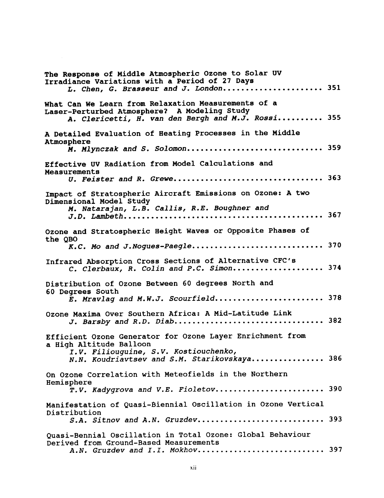| The Response of Middle Atmospheric Ozone to Solar UV<br>Irradiance Variations with a Period of 27 Days<br>L. Chen, G. Brasseur and J. London 351                              |  |
|-------------------------------------------------------------------------------------------------------------------------------------------------------------------------------|--|
| What Can We Learn from Relaxation Measurements of a<br>Laser-Perturbed Atmosphere? A Modeling Study<br>A. Clericetti, H. van den Bergh and M.J. Rossi 355                     |  |
| A Detailed Evaluation of Heating Processes in the Middle<br>Atmosphere<br>M. Mlynczak and S. Solomon 359                                                                      |  |
| Effective UV Radiation from Model Calculations and<br>Measurements                                                                                                            |  |
| Impact of Stratospheric Aircraft Emissions on Ozone: A two<br>Dimensional Model Study<br>M. Natarajan, L.B. Callis, R.E. Boughner and                                         |  |
| Ozone and Stratospheric Height Waves or Opposite Phases of<br>the QBO<br>K.C. Mo and J.Nogues-Paegle 370                                                                      |  |
| Infrared Absorption Cross Sections of Alternative CFC's<br>C. Clerbaux, R. Colin and P.C. Simon 374                                                                           |  |
| Distribution of Ozone Between 60 degrees North and<br>60 Degrees South<br>E. Mravlag and M.W.J. Scourfield 378                                                                |  |
| Ozone Maxima Over Southern Africa: A Mid-Latitude Link<br>J. Barsby and R.D. Diab 382                                                                                         |  |
| Efficient Ozone Generator for Ozone Layer Enrichment from<br>a High Altitude Balloon<br>I.V. Filiouguine, S.V. Kostiouchenko,<br>N.N. Koudriavtsev and S.M. Starikovskaya 386 |  |
| On Ozone Correlation with Meteofields in the Northern<br>Hemisphere<br>T.V. Kadygrova and V.E. Fioletov 390                                                                   |  |
| Manifestation of Quasi-Biennial Oscillation in Ozone Vertical<br>Distribution<br>S.A. Sitnov and A.N. Gruzdev 393                                                             |  |
| Quasi-Bennial Oscillation in Total Ozone: Global Behaviour<br>Derived from Ground-Based Measurements<br>A.N. Gruzdev and I.I. Mokhov 397                                      |  |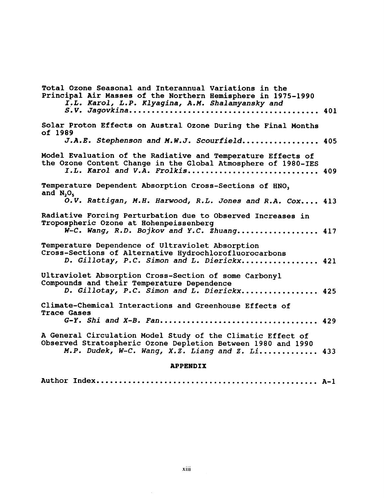| Total Ozone Seasonal and Interannual Variations in the<br>Principal Air Masses of the Northern Hemisphere in 1975-1990<br>I.L. Karol, L.P. Klyagina, A.M. Shalamyansky and     |  |
|--------------------------------------------------------------------------------------------------------------------------------------------------------------------------------|--|
| Solar Proton Effects on Austral Ozone During the Final Months<br>of 1989<br>J.A.E. Stephenson and M.W.J. Scourfield 405                                                        |  |
| Model Evaluation of the Radiative and Temperature Effects of<br>the Ozone Content Change in the Global Atmosphere of 1980-IES<br>I.L. Karol and V.A. Frolkis 409               |  |
| Temperature Dependent Absorption Cross-Sections of HNO,<br>and $N_2O_5$<br>O.V. Rattigan, M.H. Harwood, R.L. Jones and R.A. Cox 413                                            |  |
| Radiative Forcing Perturbation due to Observed Increases in<br>Tropospheric Ozone at Hohenpeissenberg<br>W-C. Wang, R.D. Bojkov and Y.C. Zhuang 417                            |  |
| Temperature Dependence of Ultraviolet Absorption<br>Cross-Sections of Alternative Hydrochlorofluorocarbons<br>D. Gillotay, P.C. Simon and L. Dierickx 421                      |  |
| Ultraviolet Absorption Cross-Section of some Carbonyl<br>Compounds and their Temperature Dependence<br>D. Gillotay, P.C. Simon and L. Dierickx 425                             |  |
| Climate-Chemical Interactions and Greenhouse Effects of<br><b>Trace Gases</b>                                                                                                  |  |
| A General Circulation Model Study of the Climatic Effect of<br>Observed Stratospheric Ozone Depletion Between 1980 and 1990<br>M.P. Dudek, W-C. Wang, X.Z. Liang and Z. Li 433 |  |
| <b>APPENDIX</b>                                                                                                                                                                |  |

# **Author Index** ................................................. **A-1**

 $\hat{\boldsymbol{\beta}}$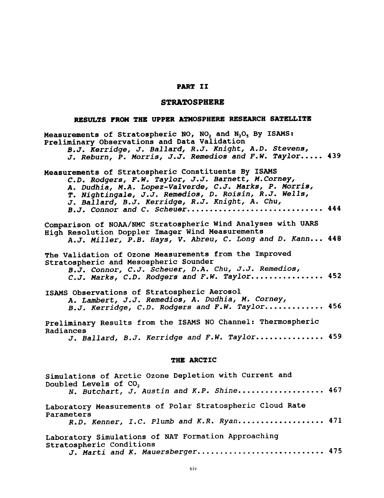## **PART II**

## **STRATOSPHERE**

## **RESULTS FROM THE UPPER ATMOSPHERE** RESEARCH SATELLITE

| Measurements of Stratospheric NO, NO <sub>2</sub> and N <sub>2</sub> O <sub>5</sub> By ISAMS:<br>Preliminary Observations and Data Validation<br>B.J. Kerridge, J. Ballard, R.J. Knight, A.D. Stevens,<br>J. Reburn, P. Morris, J.J. Remedios and F.W. Taylor 439                                                 |
|-------------------------------------------------------------------------------------------------------------------------------------------------------------------------------------------------------------------------------------------------------------------------------------------------------------------|
| Measurements of Stratospheric Constituents By ISAMS<br>C.D. Rodgers, F.W. Taylor, J.J. Barnett, M.Corney,<br>A. Dudhia, M.A. Lopez-Valverde, C.J. Marks, P. Morris,<br>T. Nightingale, J.J. Remedios, D. Roisin, R.J. Wells,<br>J. Ballard, B.J. Kerridge, R.J. Knight, A. Chu,<br>B.J. Connor and C. Scheuer 444 |
| Comparison of NOAA/NMC Stratospheric Wind Analyses with UARS<br>High Resolution Doppler Imager Wind Measurements<br>A.J. Miller, P.B. Hays, V. Abreu, C. Long and D. Kann 448                                                                                                                                     |
| The Validation of Ozone Measurements from the Improved<br>Stratospheric and Mesospheric Sounder<br>B.J. Connor, C.J. Scheuer, D.A. Chu, J.J. Remedios,<br>C.J. Marks, C.D. Rodgers and F.W. Taylor 452                                                                                                            |
| ISAMS Observations of Stratospheric Aerosol<br>A. Lambert, J.J. Remedios, A. Dudhia, M. Corney,<br>B.J. Kerridge, C.D. Rodgers and F.W. Taylor 456                                                                                                                                                                |
| Preliminary Results from the ISAMS NO Channel: Thermospheric<br>Radiances<br>J. Ballard, B.J. Kerridge and F.W. Taylor 459                                                                                                                                                                                        |
| THE ARCTIC                                                                                                                                                                                                                                                                                                        |
| Simulations of Arctic Ozone Depletion with Current and<br>Doubled Levels of CO,<br>N. Butchart, J. Austin and K.P. Shine 467                                                                                                                                                                                      |
| Laboratory Measurements of Polar Stratospheric Cloud Rate<br>Parameters<br>R.D. Kenner, I.C. Plumb and K.R. Ryan 471                                                                                                                                                                                              |
| Laboratory Simulations of NAT Formation Approaching<br>Stratospheric Conditions<br>J. Marti and K. Mauersberger 475                                                                                                                                                                                               |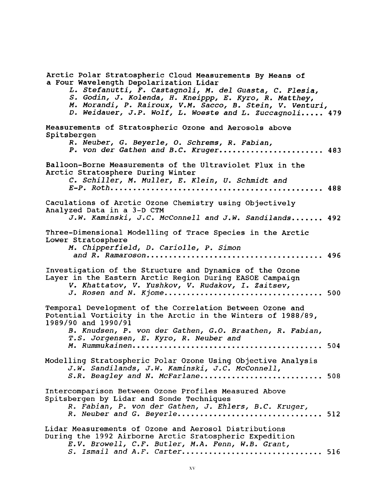Arctic Polar Stratospheric Cloud Measurements By Means of a Four Wavelength Depolarization Lidar L. Stefanutti, F. Castagnoli, M. del Guasta, C. Flesia, S. Godin, J. Kolenda, H. Kneippp, E. Kyro, R. Matthey, M. Morandi, P. Rairoux, V.M. Sacco, B. Stein, V. Venturi, D. Weidauer, J.P. Wolf, L. Woeste and L. Zuccagnoli..... 479 Measurements of Stratospheric Ozone and Aerosols above Spitsbergen R. Neuber, G. Beyerle, O. Schrems, R. Fabian, P. von der Gathen and B.C. Kruger........................ 483 Balloon-Borne Measurements of the Ultraviolet Flux in the Arctic Stratosphere During Winter C. Schiller, M. Muller, E. Klein, U. Schmidt and E-P. Roth ............................................... 488 Caculations of Arctic Ozone Chemistry using Objectively Analyzed Data in a 3-D CTM J.W. Kaminski, J.C. McConnell and J.W. Sandilands....... 492 Three-Dimensional Modelling of Trace Species in the Arctic Lower Stratosphere M. Chipperfield, D. Cariolle, P. Simon and R. Ramaroson ....................................... 496 Investigation of the Structure and Dynamics of the Ozone Layer in the Eastern Arctic Region During EASOE Campaign V. Khattatov, V. Yushkov, V. Rudakov, I. Zaitsev, J. Rosen and N. Kjome ................................... 500 Temporal Development of the Correlation Between Ozone and Potential Vorticity in the Arctic in the Winters of 1988/89, 1989/90 and 1990/91 B. Knudsen, P. von der Gathen, G.O. Braathen, R. Fabian, T.S. Jorgensen, E. Kyro, R. Neuber and M. Rummukainen .......................................... 504 Modelling Stratospheric Polar Ozone Using Objective Analysis J.W. Sandilands, J.W. Kaminski, J.C. McConnell, S.R. Beagley and N. McFarlane ........................... 508 Intercomparison Between Ozone Profiles Measured Above Spitsbergen by Lidar and Sonde Techniques R. Fabian, P. vonder Gathen, J. Ehlers, B.C. Kruger, R. Neuber and G. Beyerle ................................ 512 Lidar Measurements of Ozone and Aerosol Distributions During the 1992 Airborne Arctic Sratospheric Expedition E.V. Browell, C.F. Butler, M.A. Fenn, W.B. Grant, S. Ismail and A.F. Carter ............................... 516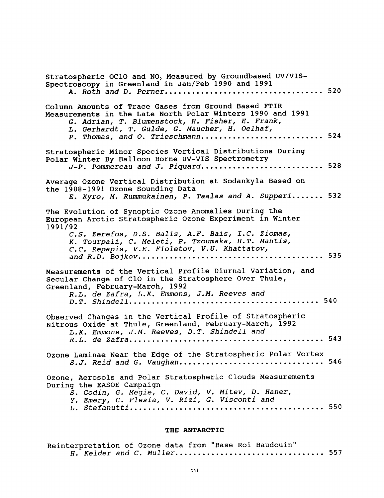| Stratospheric OClO and NO <sub>2</sub> Measured by Groundbased UV/VIS-<br>Spectroscopy in Greenland in Jan/Feb 1990 and 1991                                                                                                                                                          |
|---------------------------------------------------------------------------------------------------------------------------------------------------------------------------------------------------------------------------------------------------------------------------------------|
| Column Amounts of Trace Gases from Ground Based FTIR<br>Measurements in the Late North Polar Winters 1990 and 1991<br>G. Adrian, T. Blumenstock, H. Fisher, E. Frank,<br>L. Gerhardt, T. Gulde, G. Maucher, H. Oelhaf,<br>P. Thomas, and O. Trieschmann 524                           |
| Stratospheric Minor Species Vertical Distributions During<br>Polar Winter By Balloon Borne UV-VIS Spectrometry<br>J-P. Pommereau and J. Piquard 528                                                                                                                                   |
| Average Ozone Vertical Distribution at Sodankyla Based on<br>the 1988-1991 Ozone Sounding Data<br>E. Kyro, M. Rummukainen, P. Taalas and A. Supperi 532                                                                                                                               |
| The Evolution of Synoptic Ozone Anomalies During the<br>European Arctic Stratospheric Ozone Experiment in Winter<br>1991/92<br>C.S. Zerefos, D.S. Balis, A.F. Bais, I.C. Ziomas,<br>K. Tourpali, C. Meleti, P. Tzoumaka, H.T. Mantis,<br>C.C. Repapis, V.E. Fioletov, V.U. Khattatov, |
| Measurements of the Vertical Profile Diurnal Variation, and<br>Secular Change of ClO in the Stratosphere Over Thule,<br>Greenland, February-March, 1992<br>R.L. de Zafra, L.K. Emmons, J.M. Reeves and<br>540                                                                         |
| Observed Changes in the Vertical Profile of Stratospheric<br>Nitrous Oxide at Thule, Greenland, February-March, 1992<br>L.K. Emmons, J.M. Reeves, D.T. Shindell and                                                                                                                   |
| Ozone Laminae Near the Edge of the Stratospheric Polar Vortex                                                                                                                                                                                                                         |
| Ozone, Aerosols and Polar Stratospheric Clouds Measurements<br>During the EASOE Campaign<br>S. Godin, G. Megie, C. David, V. Mitev, D. Haner,<br>Y. Emery, C. Flesia, V. Rizi, G. Visconti and                                                                                        |

## **THE** ANTARCTIC

Reinterpretation of Ozone data from "Base Roi Baudou H. Kelder and C. Muller ................................. 557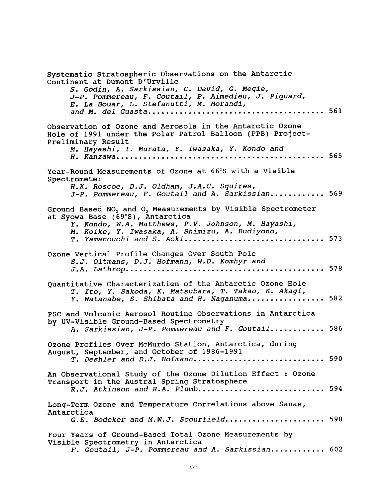Systematic Stratospheric Observations on the Antarctic Continent at Dumont D'Urville S. Godin, A. Sarkissian, C. David, G. Megie, J-P. Pommereau, F. Goutail, P. Aimedieu, J. Piquard, E. La Bouar, L. Stefanutti, M. Morandi, and M. del Guasta ....................................... 561 Observation of Ozone and Aerosols in the Antarctic Ozone Hole of 1991 under the Polar Patrol Balloon (PPB) Project-Preliminary Result M. Hayashi, I. Murata, Y. Iwasaka, Y. Kondo and H. Kanzawa .............................................. 565 Year-Round Measurements of Ozone at 66°S with a Visible Spectrometer H.K. Roscoe, D.J. Oldham, J.A.C. Squires, J-P. Pommereau, F. Goutail and A. Sarkissian............. 569 Ground Based  $NO<sub>2</sub>$  and  $O<sub>3</sub>$  Measurements by Visible Spectrometer at Syowa Base (69°S), Antarctica Y. Kondo, W.A. Matthews, P.V. Johnson, M. Hayashi, M. Koike, Y. Iwasaka, A. Shimizu, A. Budiyono, T. Yamanouchi and S. Aoki ............................... 573 Ozone Vertical Profile Changes Over South Pole S.J. Oltmans, D.J. Hofmann, W.D. Komhyr and J.A. Lathrop ............................................ 578 Quantitative Characterization of the Antarctic Ozone Hole T. Ito, Y. Sakoda, K. Matsubara, T. Takao, K. Akagi, Y. Watanabe, S. Shibata and H. Naganuma................... 582 PSC and Volcanic Aerosol Routine Observations in Antarctica by UV-Visible Ground-Based Spectrometry A. Sarkissian, J-P. Pommereau and F. Goutail............. 586 Ozone Profiles Over McMurdo Station, Antarctica, during August, September, and October of 1986-1991 T. Deshler and D.J. Hofmann ............................. 590 An Observational Study of the Ozone Dilution Effect : Ozone Transport in the Austral Spring Stratosphere R.J. Atkinson and R.A. Plumb ............................ 594 Long-Term Ozone and Temperature Correlations above Sanae, Antarctica G.E. Bodeker and M.W.J. Scourfield........................ 598 Four Years of Ground-Based Total Ozone Measurements by visible Spectrometry in Antarctica  $F.$  Goutail, J-P. Pommereau and A. Sarkissian.............. 602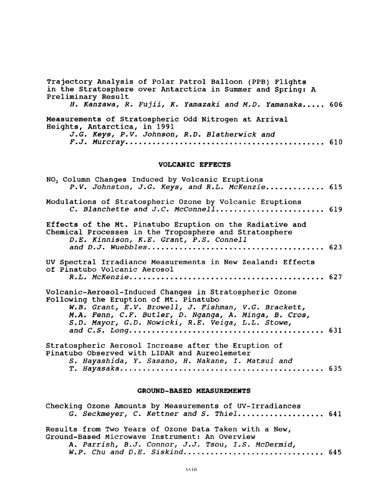Trajectory Analysis of Polar Patrol Balloon (PPB) Flights in the Stratosphere over Antarctica in Summer and Spring: A Preliminary Result H. Kanzawa, R. Fujii, K. Yamazaki and M.D. Yamanaka..... 606 Measurements of Stratospheric Odd Nitrogen at Arrival Heights, Antarctica, in 1991 J.G. Keys, P.V. Johnson, R.D. Blatherwick and F.J. Murcray ............................................ 610

#### **VOLCANIC** EFFECTS

| NO <sub>2</sub> Column Changes Induced by Volcanic Eruptions<br>P.V. Johnston, J.G. Keys, and R.L. McKenzie 615                                                |  |
|----------------------------------------------------------------------------------------------------------------------------------------------------------------|--|
| Modulations of Stratospheric Ozone by Volcanic Eruptions<br>C. Blanchette and J.C. McConnell 619                                                               |  |
| Effects of the Mt. Pinatubo Eruption on the Radiative and<br>Chemical Processes in the Troposphere and Stratosphere<br>D.E. Kinnison, K.E. Grant, P.S. Connell |  |
|                                                                                                                                                                |  |
| UV Spectral Irradiance Measurements in New Zealand: Effects<br>of Pinatubo Volcanic Aerosol                                                                    |  |
|                                                                                                                                                                |  |
| Volcanic-Aerosol-Induced Changes in Stratospheric Ozone<br>Following the Eruption of Mt. Pinatubo                                                              |  |
| W.B. Grant, E.V. Browell, J. Fishman, V.G. Brackett,                                                                                                           |  |
| M.A. Fenn, C.F. Butler, D. Nganga, A. Minga, B. Cros,<br>S.D. Mayor, G.D. Nowicki, R.E. Veiga, L.L. Stowe,                                                     |  |
|                                                                                                                                                                |  |
| Stratospheric Aerosol Increase after the Eruption of<br>Pinatubo Observed with LIDAR and Aureolemeter                                                          |  |
| S. Hayashida, Y. Sasano, H. Nakane, I. Matsui and                                                                                                              |  |
|                                                                                                                                                                |  |

#### **GROUND-BASED MEASUREMENTS**

Checking **Ozone** Amounts by Measurements **of** UV-Irradiances G. Seckmeyer, C. Kettner and S. Thiel.................... 641

Results from Two Years of Ozone Data Taken with a New, Ground-Based Microwave Instrument: An Overview A. Parrish, B.J. Connor, J.J. Tsou, I.S. McDermid, W.P. Chu and D.E. Siskind ............................... 645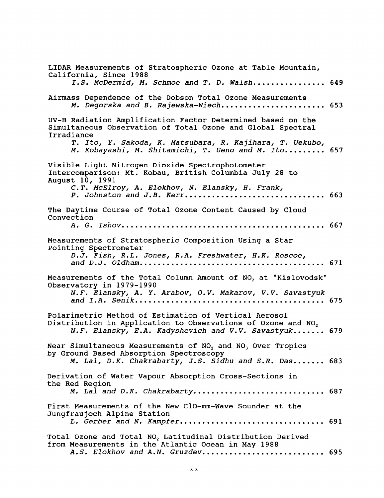LIDAR Measurements of Stratospheric Ozone at Table Mountain, California, Since 1988 I.S. McDermid, M. Schmoe and T. D. Walsh................ 649 Airmass Dependence of the Dobson Total Ozone Measurements M. Degorska and B. Rajewska-Wiech........................ 653 UV-B Radiation Amplification Factor Determined based on the Simultaneous Observation of Total Ozone and Global Spectral Irradiance T. Ito, Y. Sakoda, K. Matsubara, R. Kajihara, T. Uekubo, M. Kobayashi, M. Shitamichi, T. Ueno and M. Ito......... 657 Visible Light Nitrogen Dioxide Spectrophotometer Intercomparison: Mt. Kobau, British Columbia July 28 to August i0, 1991 C.T. McElroy, A. Elokhov, N. Elansky, H. Frank, P. Johnston and J.B. Kerr ............................... 663 The Daytime Course of Total Ozone Content Caused by Cloud Convection A. G. Ishov ............................................. 667 Measurements of Stratospheric Composition Using a Star Pointing Spectrometer D.J. Fish, R.L. Jones, R.A. Freshwater, H.K. Roscoe, and D.J. Oldham ......................................... 671 Measurements of the Total Column Amount of NO, at "Kislovodsk" Observatory in 1979-1990 N.F. Elansky, A. Y. Arabov, O.V. Makarov, V.V. Savastyuk and I.A. Senik .......................................... 675 Polarimetric Method of Estimation of Vertical Aerosol Distribution in Application to Observations of Ozone and NO<sub>2</sub> N.F. Elansky, E.A. Kadyshevich and V.V. Savastyuk....... 679 Near Simultaneous Measurements of  $NO<sub>2</sub>$  and  $NO<sub>3</sub>$  Over Tropics by Ground Based Absorption Spectroscopy M. Lal, D.K. Chakrabarty, J.S. Sidhu and S.R. Das....... 683 Derivation of Water Vapour Absorption Cross-Sections in the Red Region M. Lal and D.K. Chakrabarty................................. 687 First Measurements of the New CiO-mm-Wave Sounder at the Jungfraujoch Alpine Station L. Gerber and N. Kampfer ................................ 691 Total Ozone and Total NO, Latitudinal Distribution Derived from Measurements in the Atlantic Ocean in May 1988 A.S. Elokhov and A.N. Gruzdev............................... 695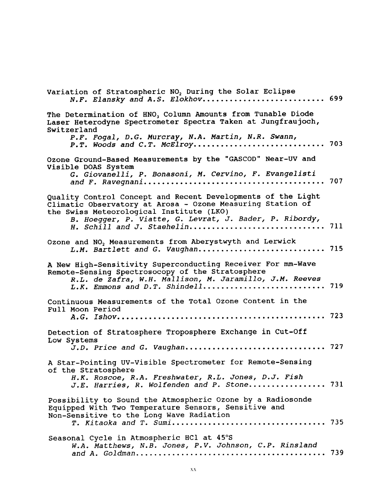Variation of Stratospheric  $NO<sub>2</sub>$  During the Solar Eclipse N.F. Elansky and A.S. Elokhov............................... 699 The Determination of HNO<sub>3</sub> Column Amounts from Tunable Diode Laser Heterodyne Spectrometer Spectra Taken at Jungfraujoch, Switzerland P.F. Fogal, D.G. Murcray, N.A. Martin, N.R. Swann, P.T. Woods and C.T. McElroy ............................. 703 Ozone Ground-Based Measurements by the "GASCOD" Near-UV and Visible DOAS System G. Giovanelli, P. Bonasoni, M. Cervino, F. Evangelisti and F. Ravegnani ........................................ 707 Quality Control Concept and Recent Developments of the Light Climatic Observatory at Arosa - Ozone Measuring Station of the Swiss Meteorological Institute (LKO) B. Hoegger, P. Viatte, G. Levrat, J. Bader, P. Ribordy, H. Schill and J. Staehelin .............................. 711 Ozone and NO<sub>2</sub> Measurements from Aberystwyth and Lerwick  $L.M.$  Bartlett and G. Vaughan................................... 715 A New High-Sensitivity Superconducting Receiver For mm-Wave Remote-Sensing Spectrosocopy of the Stratosphere R.L. de Zafra, W.H. Mallison, M. Jaramillo, J.M. Reeves L.K. Emmons and D.T. Shindell ........................... 719 Continuous Measurements of the Total Ozone Content in the Full Moon Period A.G. Ishov .............................................. 723 Detection of Stratosphere Troposphere Exchange in Cut-Off Low Systems J.D. Price and G. Vaughan................................... 727 A Star-Pointing UV-Visible Spectrometer for Remote-Sensing of the Stratosphere H.K. Roscoe, R.A. Freshwater, R.L. Jones, D.J. Fish J.E. Harries, R. Wolfenden and P. Stone ................. 731 Possibility to Sound the Atmospheric Ozone by a Radiosonde Equipped With Two Temperature Sensors, Sensitive and Non-Sensitive to the Long Wave Radiation T. Kitaoka and T. Sumi .................................. 735 Seasonal Cycle in Atmospheric HCI at 45°S W.A. Matthews, N.B. Jones, P.V. Johnson, C.P. Rinsland and A. Goldman .......................................... 739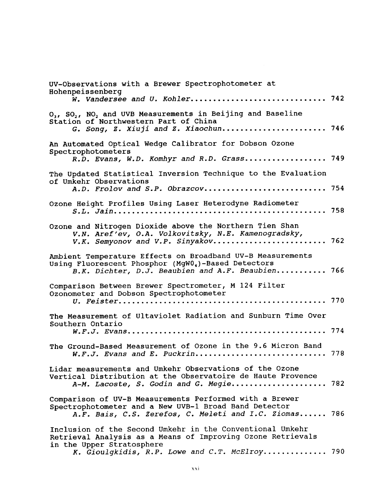| UV-Observations with a Brewer Spectrophotometer at<br>Hohenpeissenberg<br>W. Vandersee and U. Kohler 742<br>O <sub>3</sub> , SO <sub>2</sub> , NO <sub>2</sub> and UVB Measurements in Beijing and Baseline<br>Station of Northwestern Part of China<br>G. Song, Z. Xiuji and Z. Xiaochun 746<br>An Automated Optical Wedge Calibrator for Dobson Ozone<br>Spectrophotometers<br>R.D. Evans, W.D. Komhyr and R.D. Grass 749<br>The Updated Statistical Inversion Technique to the Evaluation<br>of Umkehr Observations<br>A.D. Frolov and S.P. Obrazcov 754<br>Ozone Height Profiles Using Laser Heterodyne Radiometer<br>Ozone and Nitrogen Dioxide above the Northern Tien Shan<br>V.N. Aref'ev, O.A. Volkovitsky, N.E. Kamenogradsky,<br>V.K. Semyonov and V.P. Sinyakov 762<br>Ambient Temperature Effects on Broadband UV-B Measurements<br>Using Fluorescent Phosphor (MgWO4)-Based Detectors<br>B.K. Dichter, D.J. Beaubien and A.F. Beaubien 766<br>Comparison Between Brewer Spectrometer, M 124 Filter<br>Ozonometer and Dobson Spectrophotometer<br>The Measurement of Ultaviolet Radiation and Sunburn Time Over<br>Southern Ontario<br>The Ground-Based Measurement of Ozone in the 9.6 Micron Band<br>Lidar measurements and Umkehr Observations of the Ozone<br>Vertical Distribution at the Observatoire de Haute Provence<br>A-M. Lacoste, S. Godin and G. Megie 782<br>Comparison of UV-B Measurements Performed with a Brewer<br>Spectrophotometer and a New UVB-1 Broad Band Detector<br>A.F. Bais, C.S. Zerefos, C. Meleti and I.C. Ziomas 786<br>Inclusion of the Second Umkehr in the Conventional Umkehr<br>Retrieval Analysis as a Means of Improving Ozone Retrievals<br>in the Upper Stratosphere<br>K. Gioulgkidis, R.P. Lowe and C.T. McElroy 790 |  |
|--------------------------------------------------------------------------------------------------------------------------------------------------------------------------------------------------------------------------------------------------------------------------------------------------------------------------------------------------------------------------------------------------------------------------------------------------------------------------------------------------------------------------------------------------------------------------------------------------------------------------------------------------------------------------------------------------------------------------------------------------------------------------------------------------------------------------------------------------------------------------------------------------------------------------------------------------------------------------------------------------------------------------------------------------------------------------------------------------------------------------------------------------------------------------------------------------------------------------------------------------------------------------------------------------------------------------------------------------------------------------------------------------------------------------------------------------------------------------------------------------------------------------------------------------------------------------------------------------------------------------------------------------------------------------------------------------------------------------------------------------------------------------------|--|
|                                                                                                                                                                                                                                                                                                                                                                                                                                                                                                                                                                                                                                                                                                                                                                                                                                                                                                                                                                                                                                                                                                                                                                                                                                                                                                                                                                                                                                                                                                                                                                                                                                                                                                                                                                                |  |
|                                                                                                                                                                                                                                                                                                                                                                                                                                                                                                                                                                                                                                                                                                                                                                                                                                                                                                                                                                                                                                                                                                                                                                                                                                                                                                                                                                                                                                                                                                                                                                                                                                                                                                                                                                                |  |
|                                                                                                                                                                                                                                                                                                                                                                                                                                                                                                                                                                                                                                                                                                                                                                                                                                                                                                                                                                                                                                                                                                                                                                                                                                                                                                                                                                                                                                                                                                                                                                                                                                                                                                                                                                                |  |
|                                                                                                                                                                                                                                                                                                                                                                                                                                                                                                                                                                                                                                                                                                                                                                                                                                                                                                                                                                                                                                                                                                                                                                                                                                                                                                                                                                                                                                                                                                                                                                                                                                                                                                                                                                                |  |
|                                                                                                                                                                                                                                                                                                                                                                                                                                                                                                                                                                                                                                                                                                                                                                                                                                                                                                                                                                                                                                                                                                                                                                                                                                                                                                                                                                                                                                                                                                                                                                                                                                                                                                                                                                                |  |
|                                                                                                                                                                                                                                                                                                                                                                                                                                                                                                                                                                                                                                                                                                                                                                                                                                                                                                                                                                                                                                                                                                                                                                                                                                                                                                                                                                                                                                                                                                                                                                                                                                                                                                                                                                                |  |
|                                                                                                                                                                                                                                                                                                                                                                                                                                                                                                                                                                                                                                                                                                                                                                                                                                                                                                                                                                                                                                                                                                                                                                                                                                                                                                                                                                                                                                                                                                                                                                                                                                                                                                                                                                                |  |
|                                                                                                                                                                                                                                                                                                                                                                                                                                                                                                                                                                                                                                                                                                                                                                                                                                                                                                                                                                                                                                                                                                                                                                                                                                                                                                                                                                                                                                                                                                                                                                                                                                                                                                                                                                                |  |
|                                                                                                                                                                                                                                                                                                                                                                                                                                                                                                                                                                                                                                                                                                                                                                                                                                                                                                                                                                                                                                                                                                                                                                                                                                                                                                                                                                                                                                                                                                                                                                                                                                                                                                                                                                                |  |
|                                                                                                                                                                                                                                                                                                                                                                                                                                                                                                                                                                                                                                                                                                                                                                                                                                                                                                                                                                                                                                                                                                                                                                                                                                                                                                                                                                                                                                                                                                                                                                                                                                                                                                                                                                                |  |
|                                                                                                                                                                                                                                                                                                                                                                                                                                                                                                                                                                                                                                                                                                                                                                                                                                                                                                                                                                                                                                                                                                                                                                                                                                                                                                                                                                                                                                                                                                                                                                                                                                                                                                                                                                                |  |
|                                                                                                                                                                                                                                                                                                                                                                                                                                                                                                                                                                                                                                                                                                                                                                                                                                                                                                                                                                                                                                                                                                                                                                                                                                                                                                                                                                                                                                                                                                                                                                                                                                                                                                                                                                                |  |
|                                                                                                                                                                                                                                                                                                                                                                                                                                                                                                                                                                                                                                                                                                                                                                                                                                                                                                                                                                                                                                                                                                                                                                                                                                                                                                                                                                                                                                                                                                                                                                                                                                                                                                                                                                                |  |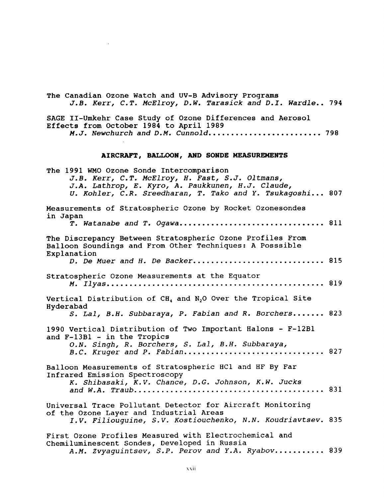The Canadian Ozone Watch and UV-B Advisory Programs J.B. Kerr, C.T. McElroy, D.W. Tarasick and D.I. Wardle.. 794 SAGE II-Umkehr Case Study of Ozone Differences and Aerosol Effects from October 1984 to April 1989 M.J. Newchurch and D.M. Cunnold ......................... 798 **AIRCRAFT, BALLOON, AND SONDE MEASUREMENTS The** 1991 WMO Ozone **Sonde** Intercomparison J.B. Kerr, **C.T.** McElroy, H. Fast, S.J. **Oltmans,** J.A. Lathrop, E. Kyro, A. Paukkunen, H.J. Claude, U. Kohler, C.R. Sreedharan, T. Tako and Y. Tsukagoshi... 807 Measurements of Stratospheric Ozone by Rocket Ozonesondes in Japan T. Watanabe and T. Ogawa ................................ 811 The Discrepancy Between Stratospheric Ozone Profiles From Balloon Soundings and From Other Techniques: A Posssible Explanation D. De Muer and H. De Backer ............................. 815 Stratospheric Ozone Measurements at the Equator M. Ilyas ................................................ 819 Vertical Distribution of CH<sub>4</sub> and N<sub>2</sub>O Over the Tropical Site Hyderabad S. Lal, B.H. Subbaraya, P. Fabian and R. Borchers....... 823 1990 Vertical Distribution of Two Important Halons - F-12BI and  $F-13B1 - in$  the Tropics O.N. Singh, R. Borchers, S. Lal, B.H. Subbaraya, B.C. Kruger and P. Fabian ............................... 827 Balloon Measurements of Stratospheric HCI and HF By Far Infrared Emission Spectroscopy K. Shibasaki, K.V. Chance, D.G. Johnson, K.W. Jucks and W.A. Traub .......................................... 831 Universal Trace Pollutant Detector for Aircraft Monitoring of the Ozone Layer and Industrial Areas I.V. Filiouguine, S.V. Kostiouchenko, N.N. Koudriavtsev. 835 First Ozone Profiles Measured with Electrochemical and Chemiluminescent Sondes, Developed in Russia A.M. Zvyaquintsev, S.P. Perov and Y.A. Ryabov........... 839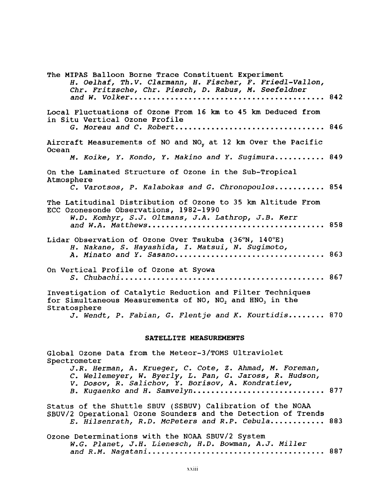| The MIPAS Balloon Borne Trace Constituent Experiment<br>H. Oelhaf, Th.V. Clarmann, H. Fischer, F. Friedl-Vallon,<br>Chr. Fritzsche, Chr. Piesch, D. Rabus, M. Seefeldner                                                                                                           |  |
|------------------------------------------------------------------------------------------------------------------------------------------------------------------------------------------------------------------------------------------------------------------------------------|--|
| Local Fluctuations of Ozone From 16 km to 45 km Deduced from<br>in Situ Vertical Ozone Profile<br>G. Moreau and C. Robert 846                                                                                                                                                      |  |
| Aircraft Measurements of NO and NO <sub>v</sub> at 12 km Over the Pacific<br>Ocean<br>M. Koike, Y. Kondo, Y. Makino and Y. Sugimura 849                                                                                                                                            |  |
| On the Laminated Structure of Ozone in the Sub-Tropical<br>Atmosphere<br>C. Varotsos, P. Kalabokas and G. Chronopoulos 854                                                                                                                                                         |  |
| The Latitudinal Distribution of Ozone to 35 km Altitude From<br>ECC Ozonesonde Observations, 1982-1990<br>W.D. Komhyr, S.J. Oltmans, J.A. Lathrop, J.B. Kerr                                                                                                                       |  |
| Lidar Observation of Ozone Over Tsukuba (36°N, 140°E)<br>H. Nakane, S. Hayashida, I. Matsui, N. Sugimoto,<br>A. Minato and Y. Sasano 863                                                                                                                                           |  |
| On Vertical Profile of Ozone at Syowa                                                                                                                                                                                                                                              |  |
| Investigation of Catalytic Reduction and Filter Techniques<br>for Simultaneous Measurements of NO, NO <sub>2</sub> and HNO <sub>3</sub> in the<br>Stratosphere                                                                                                                     |  |
| J. Wendt, P. Fabian, G. Flentje and K. Kourtidis 870                                                                                                                                                                                                                               |  |
| SATELLITE MEASUREMENTS                                                                                                                                                                                                                                                             |  |
| Global Ozone Data from the Meteor-3/TOMS Ultraviolet<br>Spectrometer<br>J.R. Herman, A. Krueger, C. Cote, Z. Ahmad, M. Foreman,<br>C. Wellemeyer, W. Byerly, L. Pan, G. Jaross, R. Hudson,<br>V. Dosov, R. Salichov, Y. Borisov, A. Kondratiev,<br>B. Kugaenko and H. Samvelyn 877 |  |
| Status of the Shuttle SBUV (SSBUV) Calibration of the NOAA<br>SBUV/2 Operational Ozone Sounders and the Detection of Trends<br>E. Hilsenrath, R.D. McPeters and R.P. Cebula 883                                                                                                    |  |

| Ozone Determinations with the NOAA SBUV/2 System     |  |
|------------------------------------------------------|--|
| W.G. Planet, J.H. Lienesch, H.D. Bowman, A.J. Miller |  |
|                                                      |  |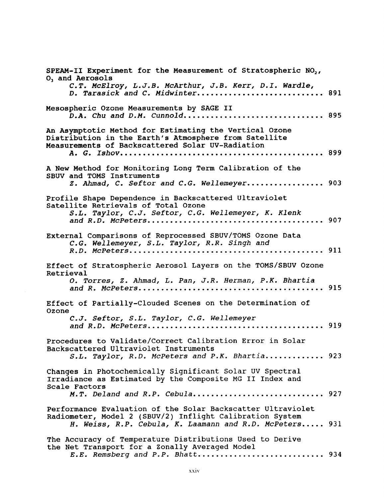| SPEAM-II Experiment for the Measurement of Stratospheric $NO2$ ,<br>O <sub>1</sub> and Aerosols                                                                                    |  |
|------------------------------------------------------------------------------------------------------------------------------------------------------------------------------------|--|
| C.T. McElroy, L.J.B. McArthur, J.B. Kerr, D.I. Wardle,<br>D. Tarasick and C. Midwinter 891                                                                                         |  |
| Mesospheric Ozone Measurements by SAGE II                                                                                                                                          |  |
| An Asymptotic Method for Estimating the Vertical Ozone<br>Distribution in the Earth's Atmosphere from Satellite<br>Measurements of Backscattered Solar UV-Radiation                |  |
| A New Method for Monitoring Long Term Calibration of the<br>SBUV and TOMS Instruments<br>Z. Ahmad, C. Seftor and C.G. Wellemeyer 903                                               |  |
| Profile Shape Dependence in Backscattered Ultraviolet<br>Satellite Retrievals of Total Ozone<br>S.L. Taylor, C.J. Seftor, C.G. Wellemeyer, K. Klenk                                |  |
| External Comparisons of Reprocessed SBUV/TOMS Ozone Data<br>C.G. Wellemeyer, S.L. Taylor, R.R. Singh and                                                                           |  |
| Effect of Stratospheric Aerosol Layers on the TOMS/SBUV Ozone<br>Retrieval<br>O. Torres, Z. Ahmad, L. Pan, J.R. Herman, P.K. Bhartia                                               |  |
| Effect of Partially-Clouded Scenes on the Determination of<br>Ozone<br>C.J. Seftor, S.L. Taylor, C.G. Wellemeyer                                                                   |  |
|                                                                                                                                                                                    |  |
| Procedures to Validate/Correct Calibration Error in Solar<br>Backscattered Ultraviolet Instruments<br>S.L. Taylor, R.D. McPeters and P.K. Bhartia 923                              |  |
| Changes in Photochemically Significant Solar UV Spectral<br>Irradiance as Estimated by the Composite MG II Index and<br>Scale Factors<br>M.T. Deland and R.P. Cebula 927           |  |
| Performance Evaluation of the Solar Backscatter Ultraviolet<br>Radiometer, Model 2 (SBUV/2) Inflight Calibration System<br>H. Weiss, R.P. Cebula, K. Laamann and R.D. McPeters 931 |  |
| The Accuracy of Temperature Distributions Used to Derive<br>the Net Transport for a Zonally Averaged Model<br>E.E. Remsberg and P.P. Bhatt 934                                     |  |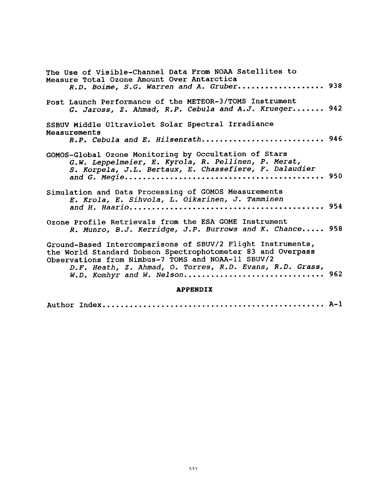| The Use of Visible-Channel Data From NOAA Satellites to<br>Measure Total Ozone Amount Over Antarctica                                                                                                                                                                         |  |
|-------------------------------------------------------------------------------------------------------------------------------------------------------------------------------------------------------------------------------------------------------------------------------|--|
| R.D. Boime, S.G. Warren and A. Gruber 938                                                                                                                                                                                                                                     |  |
| Post Launch Performance of the METEOR-3/TOMS Instrument<br>G. Jaross, Z. Ahmad, R.P. Cebula and A.J. Krueger 942                                                                                                                                                              |  |
| SSBUV Middle Ultraviolet Solar Spectral Irradiance                                                                                                                                                                                                                            |  |
| Measurements<br>R.P. Cebula and E. Hilsenrath 946                                                                                                                                                                                                                             |  |
| GOMOS-Global Ozone Monitoring by Occultation of Stars<br>G.W. Leppelmeier, E. Kyrola, R. Pellinen, P. Merat,<br>S. Korpela, J.L. Bertaux, E. Chassefiere, F. Dalaudier                                                                                                        |  |
| Simulation and Data Processing of GOMOS Measurements<br>E. Krola, E. Sihvola, L. Oikarinen, J. Tamminen                                                                                                                                                                       |  |
| Ozone Profile Retrievals from the ESA GOME Instrument<br>R. Munro, B.J. Kerridge, J.P. Burrows and K. Chance 958                                                                                                                                                              |  |
| Ground-Based Intercomparisons of SBUV/2 Flight Instruments,<br>the World Standard Dobson Spectrophotometer 83 and Overpass<br>Observations from Nimbus-7 TOMS and NOAA-11 SBUV/2<br>D.F. Heath, Z. Ahmad, O. Torres, R.D. Evans, R.D. Grass,<br>W.D. Komhyr and W. Nelson 962 |  |
| <b>APPENDIX</b>                                                                                                                                                                                                                                                               |  |

Author Index ................................................. A-I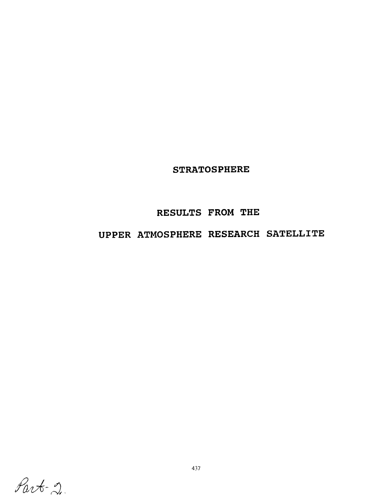# **STRATOSPHERE**

# **RESULTS FROM THE**

# **UPPER ATMOSPHERE RESEARCH SATELLITE**

Part-2